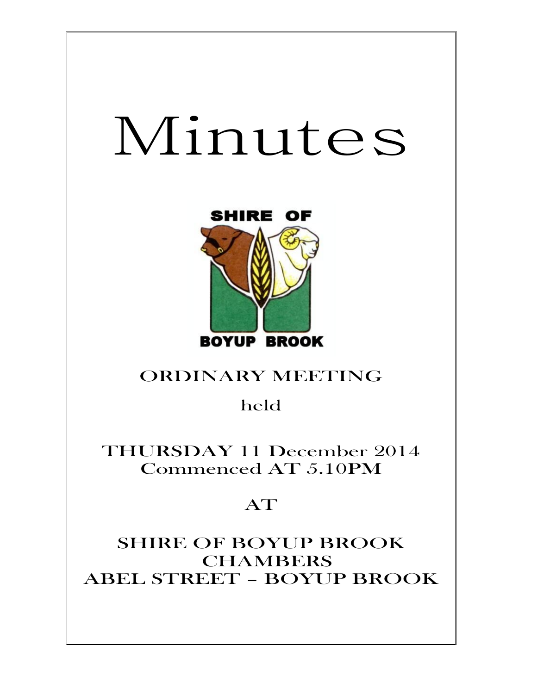# Minutes



# ORDINARY MEETING

held

THURSDAY 11 December 2014 Commenced AT 5.10PM

# AT

SHIRE OF BOYUP BROOK CHAMBERS ABEL STREET – BOYUP BROOK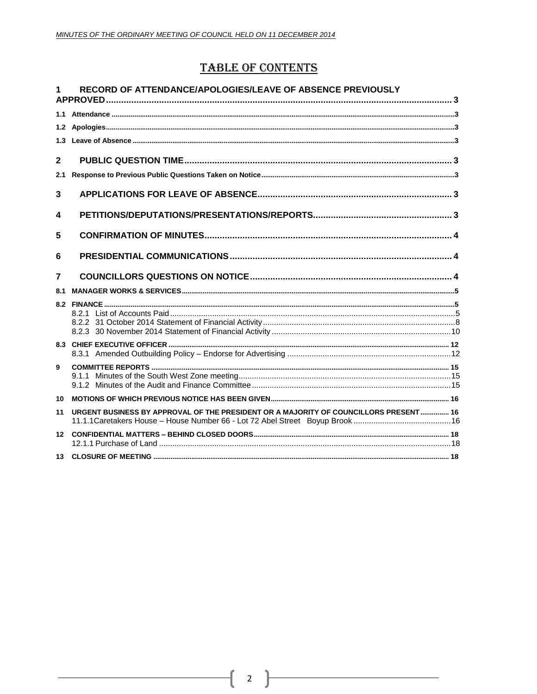## **TABLE OF CONTENTS**

| 1               | RECORD OF ATTENDANCE/APOLOGIES/LEAVE OF ABSENCE PREVIOUSLY                            |  |
|-----------------|---------------------------------------------------------------------------------------|--|
|                 |                                                                                       |  |
|                 |                                                                                       |  |
|                 |                                                                                       |  |
| $\mathbf{2}$    |                                                                                       |  |
| 2.1             |                                                                                       |  |
| 3               |                                                                                       |  |
| 4               |                                                                                       |  |
| 5               |                                                                                       |  |
| 6               |                                                                                       |  |
| $\overline{7}$  |                                                                                       |  |
|                 |                                                                                       |  |
| 8.1             |                                                                                       |  |
|                 |                                                                                       |  |
|                 |                                                                                       |  |
|                 |                                                                                       |  |
|                 |                                                                                       |  |
| 9               |                                                                                       |  |
|                 |                                                                                       |  |
|                 |                                                                                       |  |
| 10              |                                                                                       |  |
| 11              | URGENT BUSINESS BY APPROVAL OF THE PRESIDENT OR A MAJORITY OF COUNCILLORS PRESENT  16 |  |
| 12 <sup>7</sup> |                                                                                       |  |

2  $\}$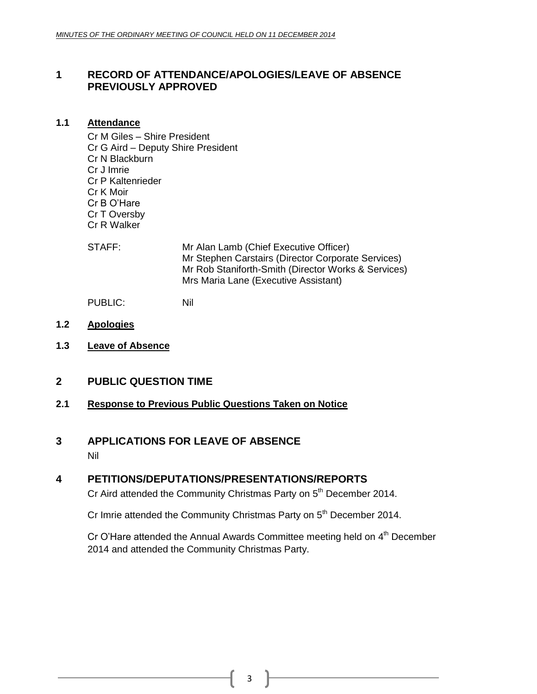### <span id="page-2-0"></span>**1 RECORD OF ATTENDANCE/APOLOGIES/LEAVE OF ABSENCE PREVIOUSLY APPROVED**

#### <span id="page-2-1"></span>**1.1 Attendance**

Cr M Giles – Shire President Cr G Aird – Deputy Shire President Cr N Blackburn Cr J Imrie Cr P Kaltenrieder Cr K Moir Cr B O'Hare Cr T Oversby Cr R Walker

STAFF: Mr Alan Lamb (Chief Executive Officer) Mr Stephen Carstairs (Director Corporate Services) Mr Rob Staniforth-Smith (Director Works & Services) Mrs Maria Lane (Executive Assistant)

PUBLIC: Nil

- <span id="page-2-2"></span>**1.2 Apologies**
- <span id="page-2-3"></span>**1.3 Leave of Absence**
- <span id="page-2-4"></span>**2 PUBLIC QUESTION TIME**

#### <span id="page-2-5"></span>**2.1 Response to Previous Public Questions Taken on Notice**

# <span id="page-2-6"></span>**3 APPLICATIONS FOR LEAVE OF ABSENCE**

Nil

### <span id="page-2-7"></span>**4 PETITIONS/DEPUTATIONS/PRESENTATIONS/REPORTS**

Cr Aird attended the Community Christmas Party on 5<sup>th</sup> December 2014.

Cr Imrie attended the Community Christmas Party on 5<sup>th</sup> December 2014.

Cr O'Hare attended the Annual Awards Committee meeting held on 4<sup>th</sup> December 2014 and attended the Community Christmas Party.

3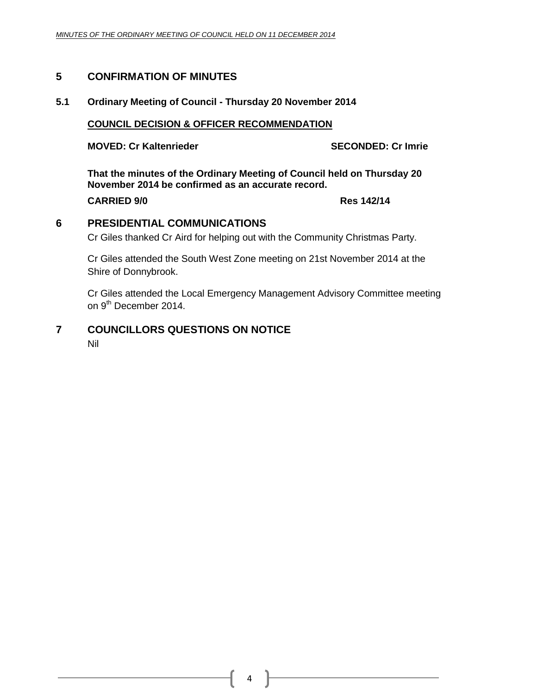#### <span id="page-3-0"></span>**5 CONFIRMATION OF MINUTES**

#### **5.1 Ordinary Meeting of Council - Thursday 20 November 2014**

#### **COUNCIL DECISION & OFFICER RECOMMENDATION**

**MOVED: Cr Kaltenrieder SECONDED: Cr Imrie**

**That the minutes of the Ordinary Meeting of Council held on Thursday 20 November 2014 be confirmed as an accurate record.**

**CARRIED 9/0 Res 142/14**

<span id="page-3-1"></span>**6 PRESIDENTIAL COMMUNICATIONS**

Cr Giles thanked Cr Aird for helping out with the Community Christmas Party.

Cr Giles attended the South West Zone meeting on 21st November 2014 at the Shire of Donnybrook.

Cr Giles attended the Local Emergency Management Advisory Committee meeting on 9<sup>th</sup> December 2014.

## <span id="page-3-2"></span>**7 COUNCILLORS QUESTIONS ON NOTICE**

Nil

4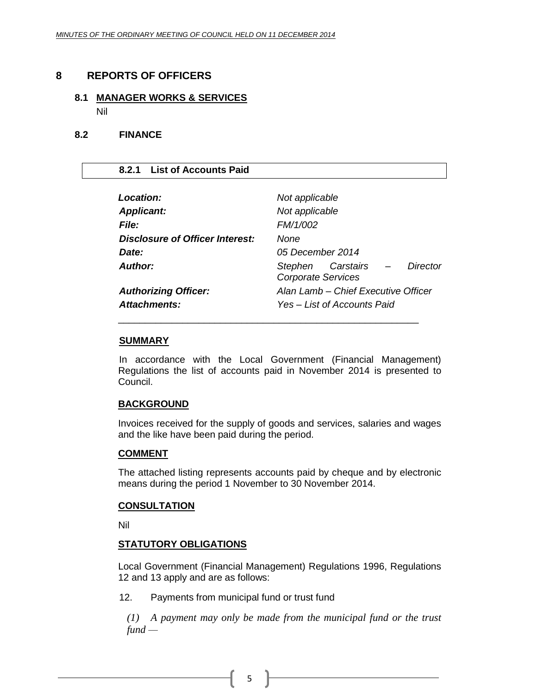#### <span id="page-4-0"></span>**8 REPORTS OF OFFICERS**

# **8.1 MANAGER WORKS & SERVICES**

<span id="page-4-1"></span>Nil

#### **8.2 FINANCE**

#### <span id="page-4-2"></span>**8.2.1 List of Accounts Paid**

| Location:                       | Not applicable                                               |  |
|---------------------------------|--------------------------------------------------------------|--|
| <b>Applicant:</b>               | Not applicable                                               |  |
| <b>File:</b>                    | FM/1/002                                                     |  |
| Disclosure of Officer Interest: | None                                                         |  |
| Date:                           | 05 December 2014                                             |  |
| Author:                         | Stephen Carstairs –<br>Director<br><b>Corporate Services</b> |  |
| <b>Authorizing Officer:</b>     | Alan Lamb - Chief Executive Officer                          |  |
| <b>Attachments:</b>             | Yes – List of Accounts Paid                                  |  |
|                                 |                                                              |  |

#### **SUMMARY**

In accordance with the Local Government (Financial Management) Regulations the list of accounts paid in November 2014 is presented to Council.

#### **BACKGROUND**

Invoices received for the supply of goods and services, salaries and wages and the like have been paid during the period.

#### **COMMENT**

The attached listing represents accounts paid by cheque and by electronic means during the period 1 November to 30 November 2014.

#### **CONSULTATION**

Nil

#### **STATUTORY OBLIGATIONS**

Local Government (Financial Management) Regulations 1996, Regulations 12 and 13 apply and are as follows:

12. Payments from municipal fund or trust fund

*(1) A payment may only be made from the municipal fund or the trust fund —*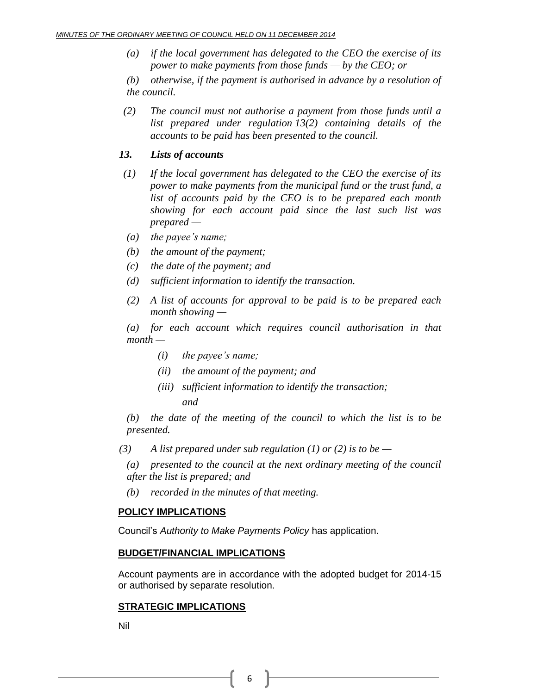*(a) if the local government has delegated to the CEO the exercise of its power to make payments from those funds — by the CEO; or*

*(b) otherwise, if the payment is authorised in advance by a resolution of the council.*

 *(2) The council must not authorise a payment from those funds until a list prepared under regulation 13(2) containing details of the accounts to be paid has been presented to the council.*

#### *13. Lists of accounts*

- *(1) If the local government has delegated to the CEO the exercise of its power to make payments from the municipal fund or the trust fund, a list of accounts paid by the CEO is to be prepared each month showing for each account paid since the last such list was prepared —*
- *(a) the payee's name;*
- *(b) the amount of the payment;*
- *(c) the date of the payment; and*
- *(d) sufficient information to identify the transaction.*
- *(2) A list of accounts for approval to be paid is to be prepared each month showing —*

*(a) for each account which requires council authorisation in that month —*

- *(i) the payee's name;*
- *(ii) the amount of the payment; and*
- *(iii) sufficient information to identify the transaction; and*

*(b) the date of the meeting of the council to which the list is to be presented.*

*(3) A list prepared under sub regulation (1) or (2) is to be —*

*(a) presented to the council at the next ordinary meeting of the council after the list is prepared; and*

*(b) recorded in the minutes of that meeting.*

#### **POLICY IMPLICATIONS**

Council's *Authority to Make Payments Policy* has application.

#### **BUDGET/FINANCIAL IMPLICATIONS**

Account payments are in accordance with the adopted budget for 2014-15 or authorised by separate resolution.

#### **STRATEGIC IMPLICATIONS**

Nil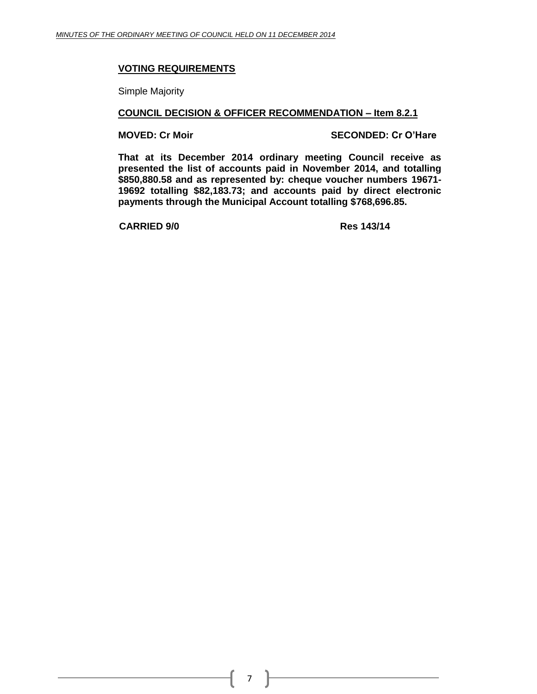#### **VOTING REQUIREMENTS**

Simple Majority

#### **COUNCIL DECISION & OFFICER RECOMMENDATION – Item 8.2.1**

**MOVED: Cr Moir SECONDED: Cr O'Hare**

**That at its December 2014 ordinary meeting Council receive as presented the list of accounts paid in November 2014, and totalling \$850,880.58 and as represented by: cheque voucher numbers 19671- 19692 totalling \$82,183.73; and accounts paid by direct electronic payments through the Municipal Account totalling \$768,696.85.**

**CARRIED 9/0 Res 143/14**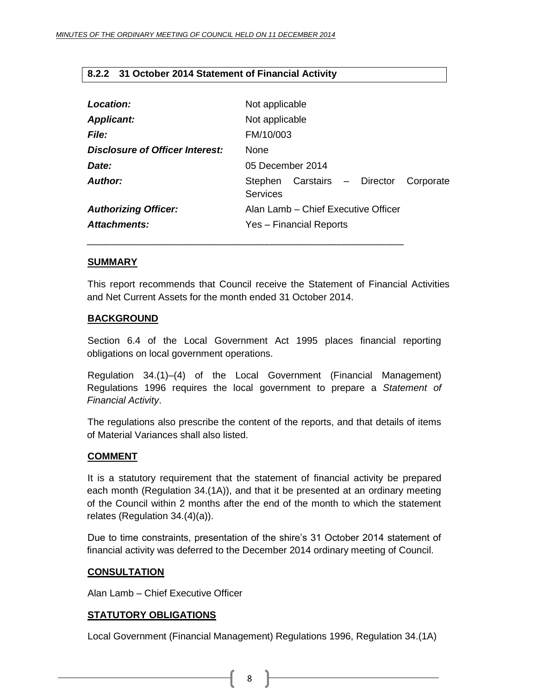#### <span id="page-7-0"></span>**8.2.2 31 October 2014 Statement of Financial Activity**

| Location:<br><b>Applicant:</b>  | Not applicable<br>Not applicable                             |  |
|---------------------------------|--------------------------------------------------------------|--|
| <b>File:</b>                    | FM/10/003                                                    |  |
| Disclosure of Officer Interest: | <b>None</b>                                                  |  |
| Date:                           | 05 December 2014                                             |  |
| Author:                         | Stephen Carstairs - Director<br>Corporate<br><b>Services</b> |  |
| <b>Authorizing Officer:</b>     | Alan Lamb – Chief Executive Officer                          |  |
| Attachments:                    | Yes - Financial Reports                                      |  |

#### **SUMMARY**

This report recommends that Council receive the Statement of Financial Activities and Net Current Assets for the month ended 31 October 2014.

*\_\_\_\_\_\_\_\_\_\_\_\_\_\_\_\_\_\_\_\_\_\_\_\_\_\_\_\_\_\_\_\_\_\_\_\_\_\_\_\_\_\_\_\_\_\_\_\_\_\_\_\_\_\_\_\_\_\_\_\_\_\_\_\_\_\_*

#### **BACKGROUND**

Section 6.4 of the Local Government Act 1995 places financial reporting obligations on local government operations.

Regulation 34.(1)–(4) of the Local Government (Financial Management) Regulations 1996 requires the local government to prepare a *Statement of Financial Activity*.

The regulations also prescribe the content of the reports, and that details of items of Material Variances shall also listed.

#### **COMMENT**

It is a statutory requirement that the statement of financial activity be prepared each month (Regulation 34.(1A)), and that it be presented at an ordinary meeting of the Council within 2 months after the end of the month to which the statement relates (Regulation 34.(4)(a)).

Due to time constraints, presentation of the shire's 31 October 2014 statement of financial activity was deferred to the December 2014 ordinary meeting of Council.

#### **CONSULTATION**

Alan Lamb – Chief Executive Officer

#### **STATUTORY OBLIGATIONS**

Local Government (Financial Management) Regulations 1996, Regulation 34.(1A)

8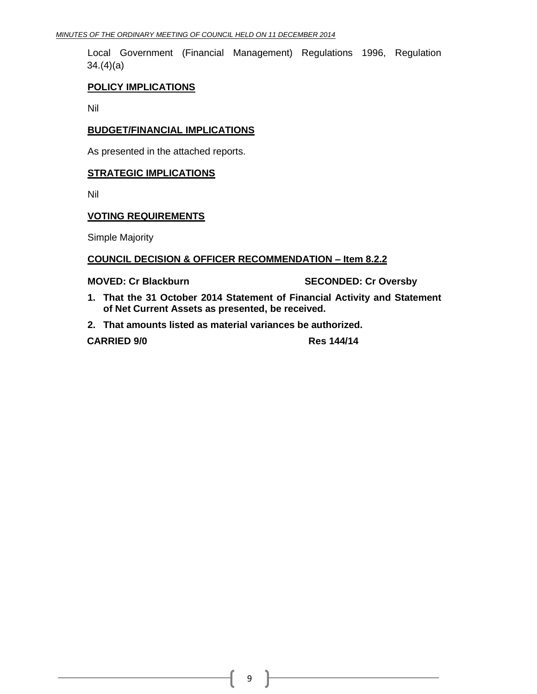Local Government (Financial Management) Regulations 1996, Regulation 34.(4)(a)

#### **POLICY IMPLICATIONS**

Nil

#### **BUDGET/FINANCIAL IMPLICATIONS**

As presented in the attached reports.

#### **STRATEGIC IMPLICATIONS**

Nil

#### **VOTING REQUIREMENTS**

Simple Majority

#### **COUNCIL DECISION & OFFICER RECOMMENDATION – Item 8.2.2**

**MOVED: Cr Blackburn SECONDED: Cr Oversby**

- **1. That the 31 October 2014 Statement of Financial Activity and Statement of Net Current Assets as presented, be received.**
- **2. That amounts listed as material variances be authorized.**

**CARRIED 9/0 Res 144/14**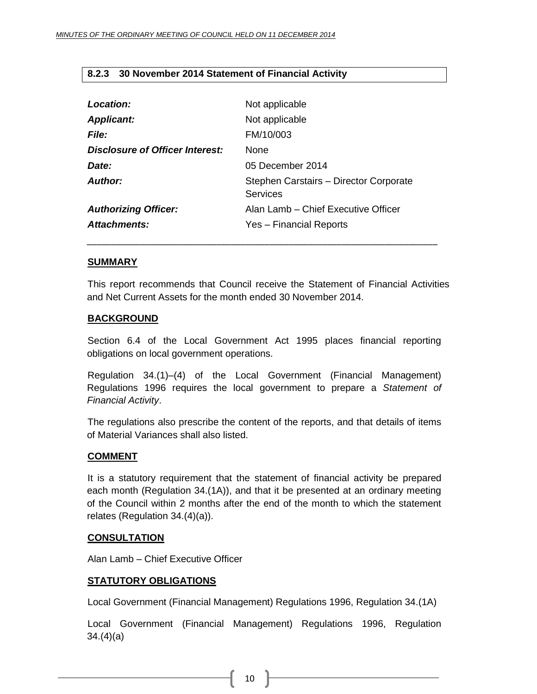#### <span id="page-9-0"></span>**8.2.3 30 November 2014 Statement of Financial Activity**

| Location:                       | Not applicable                                     |
|---------------------------------|----------------------------------------------------|
| <b>Applicant:</b>               | Not applicable                                     |
| <b>File:</b>                    | FM/10/003                                          |
| Disclosure of Officer Interest: | <b>None</b>                                        |
| Date:                           | 05 December 2014                                   |
| Author:                         | Stephen Carstairs - Director Corporate<br>Services |
| <b>Authorizing Officer:</b>     | Alan Lamb - Chief Executive Officer                |
| Attachments:                    | Yes - Financial Reports                            |

#### **SUMMARY**

This report recommends that Council receive the Statement of Financial Activities and Net Current Assets for the month ended 30 November 2014.

*\_\_\_\_\_\_\_\_\_\_\_\_\_\_\_\_\_\_\_\_\_\_\_\_\_\_\_\_\_\_\_\_\_\_\_\_\_\_\_\_\_\_\_\_\_\_\_\_\_\_\_\_\_\_\_\_\_\_\_\_\_\_\_\_\_\_\_\_\_\_\_\_\_*

#### **BACKGROUND**

Section 6.4 of the Local Government Act 1995 places financial reporting obligations on local government operations.

Regulation 34.(1)–(4) of the Local Government (Financial Management) Regulations 1996 requires the local government to prepare a *Statement of Financial Activity*.

The regulations also prescribe the content of the reports, and that details of items of Material Variances shall also listed.

#### **COMMENT**

It is a statutory requirement that the statement of financial activity be prepared each month (Regulation 34.(1A)), and that it be presented at an ordinary meeting of the Council within 2 months after the end of the month to which the statement relates (Regulation 34.(4)(a)).

#### **CONSULTATION**

Alan Lamb – Chief Executive Officer

#### **STATUTORY OBLIGATIONS**

Local Government (Financial Management) Regulations 1996, Regulation 34.(1A)

Local Government (Financial Management) Regulations 1996, Regulation 34.(4)(a)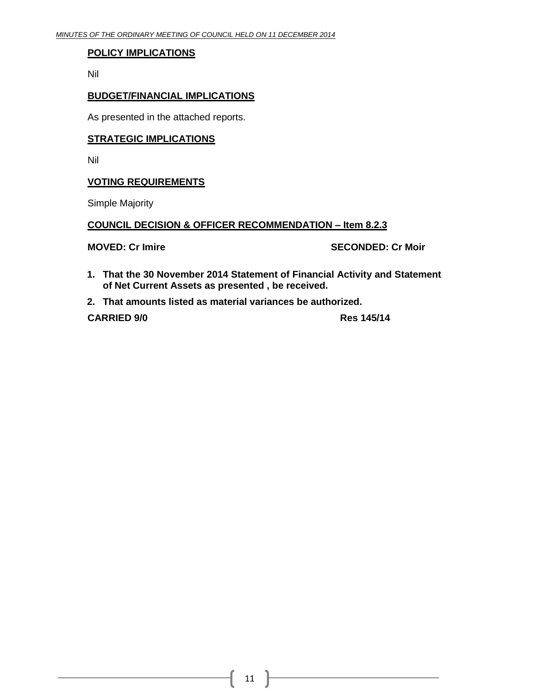#### **POLICY IMPLICATIONS**

Nil

#### **BUDGET/FINANCIAL IMPLICATIONS**

As presented in the attached reports.

#### **STRATEGIC IMPLICATIONS**

Nil

#### **VOTING REQUIREMENTS**

Simple Majority

#### **COUNCIL DECISION & OFFICER RECOMMENDATION – Item 8.2.3**

**MOVED: Cr Imire SECONDED: Cr Moir**

- **1. That the 30 November 2014 Statement of Financial Activity and Statement of Net Current Assets as presented , be received.**
- **2. That amounts listed as material variances be authorized.**

**CARRIED 9/0 Res 145/14**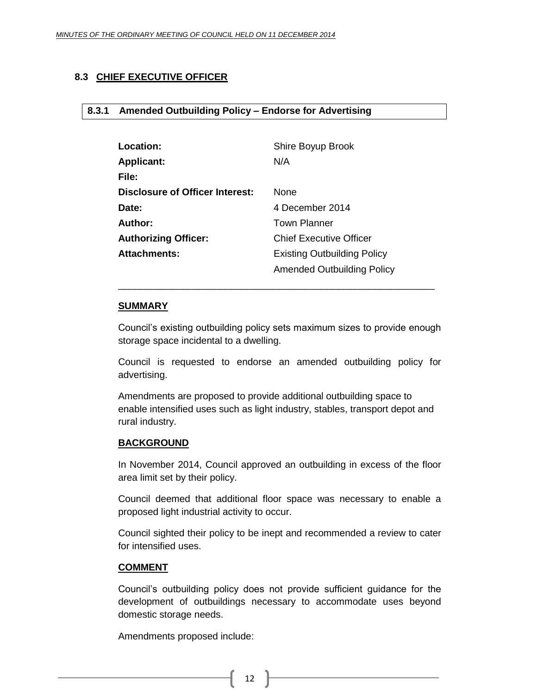### <span id="page-11-1"></span><span id="page-11-0"></span>**8.3 CHIEF EXECUTIVE OFFICER**

#### **8.3.1 Amended Outbuilding Policy – Endorse for Advertising**

| <b>Location:</b>                | Shire Boyup Brook                  |
|---------------------------------|------------------------------------|
| <b>Applicant:</b>               | N/A                                |
| File:                           |                                    |
| Disclosure of Officer Interest: | <b>None</b>                        |
| Date:                           | 4 December 2014                    |
| Author:                         | <b>Town Planner</b>                |
| <b>Authorizing Officer:</b>     | <b>Chief Executive Officer</b>     |
| <b>Attachments:</b>             | <b>Existing Outbuilding Policy</b> |
|                                 | Amended Outbuilding Policy         |

#### **SUMMARY**

Council's existing outbuilding policy sets maximum sizes to provide enough storage space incidental to a dwelling.

\_\_\_\_\_\_\_\_\_\_\_\_\_\_\_\_\_\_\_\_\_\_\_\_\_\_\_\_\_\_\_\_\_\_\_\_\_\_\_\_\_\_\_\_\_\_\_\_\_\_\_\_\_\_\_\_\_\_\_

Council is requested to endorse an amended outbuilding policy for advertising.

Amendments are proposed to provide additional outbuilding space to enable intensified uses such as light industry, stables, transport depot and rural industry.

#### **BACKGROUND**

In November 2014, Council approved an outbuilding in excess of the floor area limit set by their policy.

Council deemed that additional floor space was necessary to enable a proposed light industrial activity to occur.

Council sighted their policy to be inept and recommended a review to cater for intensified uses.

#### **COMMENT**

Council's outbuilding policy does not provide sufficient guidance for the development of outbuildings necessary to accommodate uses beyond domestic storage needs.

Amendments proposed include: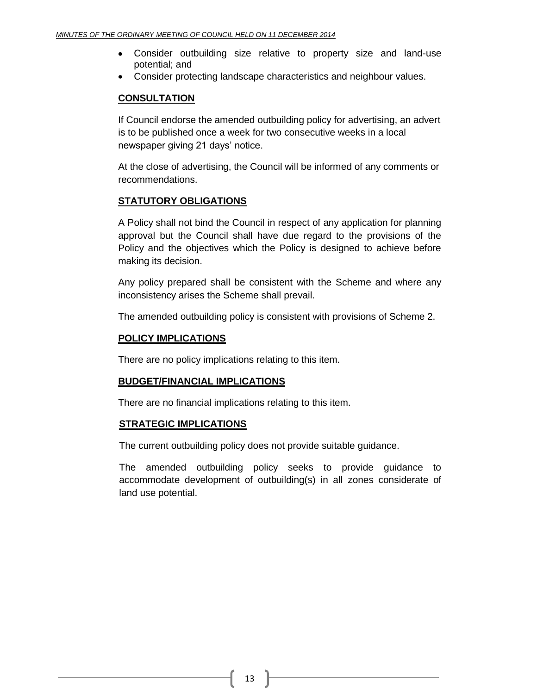- Consider outbuilding size relative to property size and land-use potential; and
- Consider protecting landscape characteristics and neighbour values.

#### **CONSULTATION**

If Council endorse the amended outbuilding policy for advertising, an advert is to be published once a week for two consecutive weeks in a local newspaper giving 21 days' notice.

At the close of advertising, the Council will be informed of any comments or recommendations.

#### **STATUTORY OBLIGATIONS**

A Policy shall not bind the Council in respect of any application for planning approval but the Council shall have due regard to the provisions of the Policy and the objectives which the Policy is designed to achieve before making its decision.

Any policy prepared shall be consistent with the Scheme and where any inconsistency arises the Scheme shall prevail.

The amended outbuilding policy is consistent with provisions of Scheme 2.

#### **POLICY IMPLICATIONS**

There are no policy implications relating to this item.

#### **BUDGET/FINANCIAL IMPLICATIONS**

There are no financial implications relating to this item.

#### **STRATEGIC IMPLICATIONS**

The current outbuilding policy does not provide suitable guidance.

The amended outbuilding policy seeks to provide guidance to accommodate development of outbuilding(s) in all zones considerate of land use potential.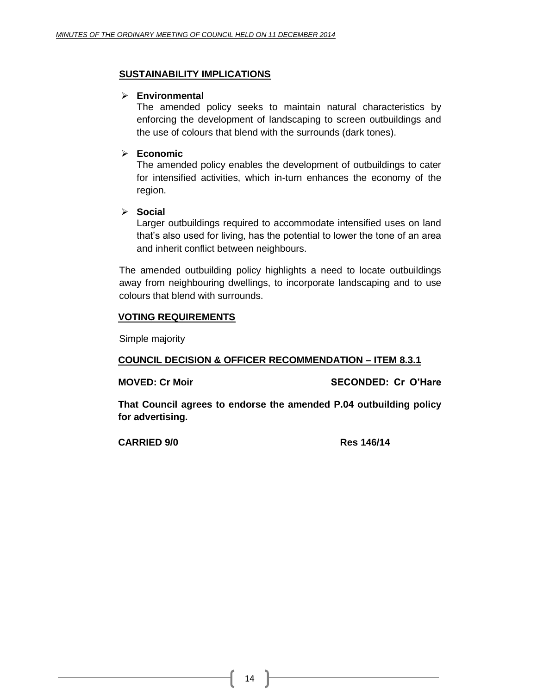#### **SUSTAINABILITY IMPLICATIONS**

#### **Environmental**

The amended policy seeks to maintain natural characteristics by enforcing the development of landscaping to screen outbuildings and the use of colours that blend with the surrounds (dark tones).

#### **Economic**

The amended policy enables the development of outbuildings to cater for intensified activities, which in-turn enhances the economy of the region.

**Social**

Larger outbuildings required to accommodate intensified uses on land that's also used for living, has the potential to lower the tone of an area and inherit conflict between neighbours.

The amended outbuilding policy highlights a need to locate outbuildings away from neighbouring dwellings, to incorporate landscaping and to use colours that blend with surrounds.

#### **VOTING REQUIREMENTS**

Simple majority

#### **COUNCIL DECISION & OFFICER RECOMMENDATION – ITEM 8.3.1**

**MOVED: Cr Moir SECONDED: Cr O'Hare**

**That Council agrees to endorse the amended P.04 outbuilding policy for advertising.**

**CARRIED 9/0 Res 146/14**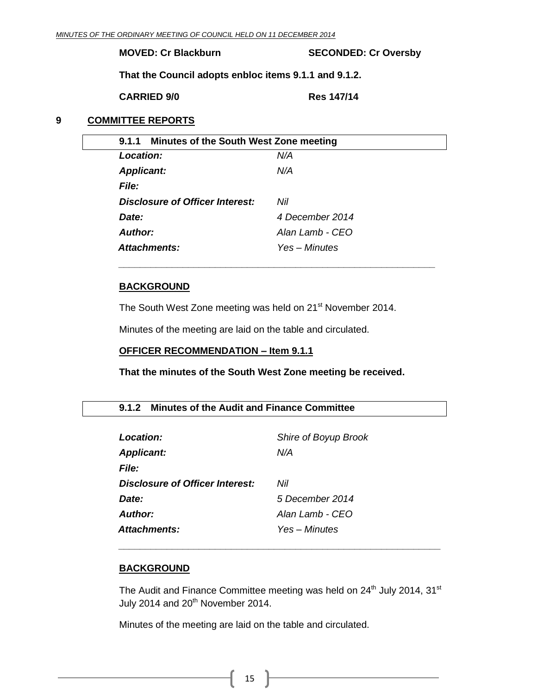**MOVED: Cr Blackburn SECONDED: Cr Oversby**

**That the Council adopts enbloc items 9.1.1 and 9.1.2.**

**CARRIED 9/0 Res 147/14**

#### <span id="page-14-0"></span>**9 COMMITTEE REPORTS**

<span id="page-14-1"></span>

| 9.1.1 Minutes of the South West Zone meeting |                 |
|----------------------------------------------|-----------------|
| Location:                                    | N/A             |
| <b>Applicant:</b>                            | N/A             |
| <b>File:</b>                                 |                 |
| <b>Disclosure of Officer Interest:</b>       | Nil             |
| Date:                                        | 4 December 2014 |
| Author:                                      | Alan Lamb - CEO |
| Attachments:                                 | Yes – Minutes   |
|                                              |                 |

*\_\_\_\_\_\_\_\_\_\_\_\_\_\_\_\_\_\_\_\_\_\_\_\_\_\_\_\_\_\_\_\_\_\_\_\_\_\_\_\_\_\_\_\_\_\_\_\_\_\_\_\_\_\_\_\_\_\_\_*

#### **BACKGROUND**

The South West Zone meeting was held on 21<sup>st</sup> November 2014.

Minutes of the meeting are laid on the table and circulated.

#### **OFFICER RECOMMENDATION – Item 9.1.1**

#### **That the minutes of the South West Zone meeting be received.**

#### <span id="page-14-2"></span>**9.1.2 Minutes of the Audit and Finance Committee**

| Location:                       | Shire of Boyup Brook |
|---------------------------------|----------------------|
| <b>Applicant:</b>               | N/A                  |
| File:                           |                      |
| Disclosure of Officer Interest: | Nil                  |
| Date:                           | 5 December 2014      |
| Author:                         | Alan I amb - CFO     |
| Attachments:                    | Yes – Minutes        |

#### **BACKGROUND**

The Audit and Finance Committee meeting was held on  $24<sup>th</sup>$  July 2014, 31 $<sup>st</sup>$ </sup> July 2014 and  $20<sup>th</sup>$  November 2014.

*\_\_\_\_\_\_\_\_\_\_\_\_\_\_\_\_\_\_\_\_\_\_\_\_\_\_\_\_\_\_\_\_\_\_\_\_\_\_\_\_\_\_\_\_\_\_\_\_\_\_\_\_\_\_\_\_\_\_\_\_*

Minutes of the meeting are laid on the table and circulated.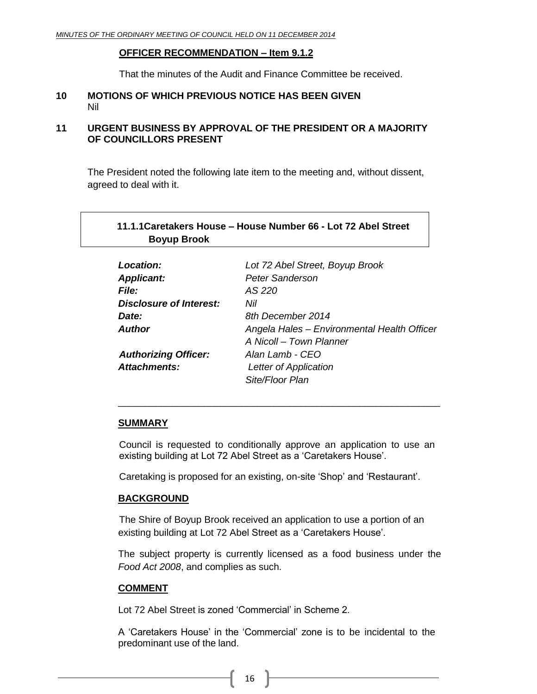#### **OFFICER RECOMMENDATION – Item 9.1.2**

That the minutes of the Audit and Finance Committee be received.

#### <span id="page-15-0"></span>**10 MOTIONS OF WHICH PREVIOUS NOTICE HAS BEEN GIVEN** Nil

#### <span id="page-15-1"></span>**11 URGENT BUSINESS BY APPROVAL OF THE PRESIDENT OR A MAJORITY OF COUNCILLORS PRESENT**

The President noted the following late item to the meeting and, without dissent, agreed to deal with it.

#### <span id="page-15-2"></span>**11.1.1Caretakers House – House Number 66 - Lot 72 Abel Street Boyup Brook**

| Location:                      | Lot 72 Abel Street, Boyup Brook             |
|--------------------------------|---------------------------------------------|
| <b>Applicant:</b>              | <b>Peter Sanderson</b>                      |
| <b>File:</b>                   | AS 220                                      |
| <b>Disclosure of Interest:</b> | Nil                                         |
| Date:                          | 8th December 2014                           |
| <b>Author</b>                  | Angela Hales - Environmental Health Officer |
|                                | A Nicoll - Town Planner                     |
| <b>Authorizing Officer:</b>    | Alan Lamb - CEO                             |
| <b>Attachments:</b>            | Letter of Application                       |
|                                | Site/Floor Plan                             |

#### **SUMMARY**

Council is requested to conditionally approve an application to use an existing building at Lot 72 Abel Street as a 'Caretakers House'.

\_\_\_\_\_\_\_\_\_\_\_\_\_\_\_\_\_\_\_\_\_\_\_\_\_\_\_\_\_\_\_\_\_\_\_\_\_\_\_\_\_\_\_\_\_\_\_\_\_\_\_\_\_\_\_\_\_\_\_\_

Caretaking is proposed for an existing, on-site 'Shop' and 'Restaurant'.

#### **BACKGROUND**

The Shire of Boyup Brook received an application to use a portion of an existing building at Lot 72 Abel Street as a 'Caretakers House'.

The subject property is currently licensed as a food business under the *Food Act 2008*, and complies as such.

#### **COMMENT**

Lot 72 Abel Street is zoned 'Commercial' in Scheme 2.

A 'Caretakers House' in the 'Commercial' zone is to be incidental to the predominant use of the land.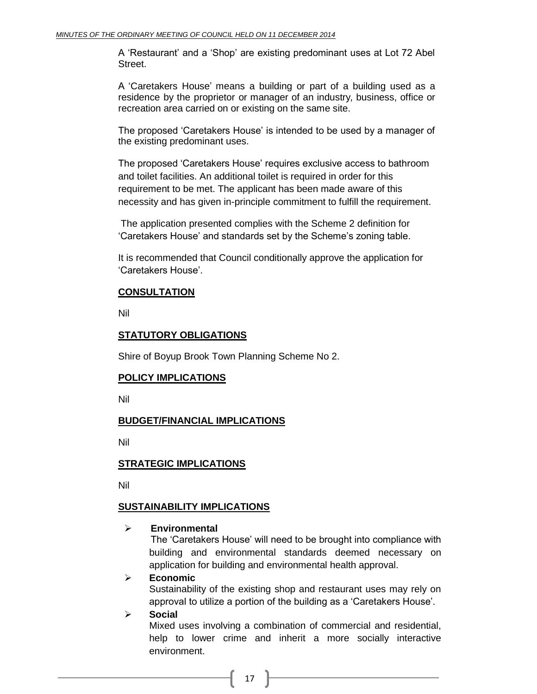A 'Restaurant' and a 'Shop' are existing predominant uses at Lot 72 Abel Street.

A 'Caretakers House' means a building or part of a building used as a residence by the proprietor or manager of an industry, business, office or recreation area carried on or existing on the same site.

The proposed 'Caretakers House' is intended to be used by a manager of the existing predominant uses.

The proposed 'Caretakers House' requires exclusive access to bathroom and toilet facilities. An additional toilet is required in order for this requirement to be met. The applicant has been made aware of this necessity and has given in-principle commitment to fulfill the requirement.

The application presented complies with the Scheme 2 definition for 'Caretakers House' and standards set by the Scheme's zoning table.

It is recommended that Council conditionally approve the application for 'Caretakers House'.

#### **CONSULTATION**

Nil

#### **STATUTORY OBLIGATIONS**

Shire of Boyup Brook Town Planning Scheme No 2.

#### **POLICY IMPLICATIONS**

Nil

#### **BUDGET/FINANCIAL IMPLICATIONS**

Nil

#### **STRATEGIC IMPLICATIONS**

Nil

#### **SUSTAINABILITY IMPLICATIONS**

#### **Environmental**

The 'Caretakers House' will need to be brought into compliance with building and environmental standards deemed necessary on application for building and environmental health approval.

#### **Economic**

Sustainability of the existing shop and restaurant uses may rely on approval to utilize a portion of the building as a 'Caretakers House'.

#### **Social**

Mixed uses involving a combination of commercial and residential, help to lower crime and inherit a more socially interactive environment.